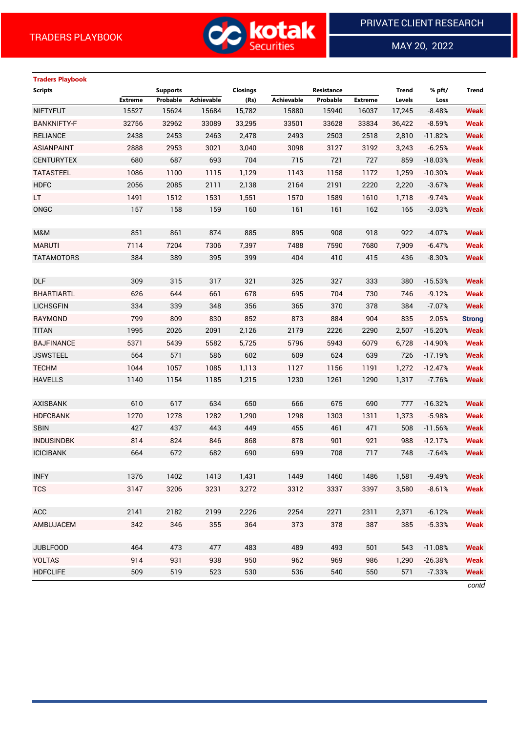

 $\overline{a}$ 

MAY 20, 2022

| <b>Traders Playbook</b> |                |                 |            |                 |                   |                   |                |        |           |               |
|-------------------------|----------------|-----------------|------------|-----------------|-------------------|-------------------|----------------|--------|-----------|---------------|
| <b>Scripts</b>          |                | <b>Supports</b> |            | <b>Closings</b> |                   | <b>Resistance</b> |                | Trend  | % pft/    | <b>Trend</b>  |
|                         | <b>Extreme</b> | Probable        | Achievable | (Rs)            | <b>Achievable</b> | Probable          | <b>Extreme</b> | Levels | Loss      |               |
| <b>NIFTYFUT</b>         | 15527          | 15624           | 15684      | 15,782          | 15880             | 15940             | 16037          | 17,245 | $-8.48%$  | <b>Weak</b>   |
| <b>BANKNIFTY-F</b>      | 32756          | 32962           | 33089      | 33,295          | 33501             | 33628             | 33834          | 36,422 | $-8.59%$  | <b>Weak</b>   |
| <b>RELIANCE</b>         | 2438           | 2453            | 2463       | 2,478           | 2493              | 2503              | 2518           | 2,810  | $-11.82%$ | <b>Weak</b>   |
| <b>ASIANPAINT</b>       | 2888           | 2953            | 3021       | 3,040           | 3098              | 3127              | 3192           | 3,243  | $-6.25%$  | <b>Weak</b>   |
| <b>CENTURYTEX</b>       | 680            | 687             | 693        | 704             | 715               | 721               | 727            | 859    | $-18.03%$ | <b>Weak</b>   |
| <b>TATASTEEL</b>        | 1086           | 1100            | 1115       | 1,129           | 1143              | 1158              | 1172           | 1,259  | $-10.30%$ | <b>Weak</b>   |
| <b>HDFC</b>             | 2056           | 2085            | 2111       | 2,138           | 2164              | 2191              | 2220           | 2,220  | $-3.67%$  | <b>Weak</b>   |
| LT.                     | 1491           | 1512            | 1531       | 1,551           | 1570              | 1589              | 1610           | 1,718  | $-9.74%$  | <b>Weak</b>   |
| ONGC                    | 157            | 158             | 159        | 160             | 161               | 161               | 162            | 165    | $-3.03%$  | <b>Weak</b>   |
|                         |                |                 |            |                 |                   |                   |                |        |           |               |
| M&M                     | 851            | 861             | 874        | 885             | 895               | 908               | 918            | 922    | $-4.07%$  | <b>Weak</b>   |
| <b>MARUTI</b>           | 7114           | 7204            | 7306       | 7,397           | 7488              | 7590              | 7680           | 7,909  | $-6.47%$  | <b>Weak</b>   |
| <b>TATAMOTORS</b>       | 384            | 389             | 395        | 399             | 404               | 410               | 415            | 436    | $-8.30%$  | <b>Weak</b>   |
|                         |                |                 |            |                 |                   |                   |                |        |           |               |
| <b>DLF</b>              | 309            | 315             | 317        | 321             | 325               | 327               | 333            | 380    | $-15.53%$ | <b>Weak</b>   |
| <b>BHARTIARTL</b>       | 626            | 644             | 661        | 678             | 695               | 704               | 730            | 746    | $-9.12%$  | <b>Weak</b>   |
| <b>LICHSGFIN</b>        | 334            | 339             | 348        | 356             | 365               | 370               | 378            | 384    | $-7.07%$  | <b>Weak</b>   |
| RAYMOND                 | 799            | 809             | 830        | 852             | 873               | 884               | 904            | 835    | 2.05%     | <b>Strong</b> |
| <b>TITAN</b>            | 1995           | 2026            | 2091       | 2,126           | 2179              | 2226              | 2290           | 2,507  | $-15.20%$ | <b>Weak</b>   |
| <b>BAJFINANCE</b>       | 5371           | 5439            | 5582       | 5,725           | 5796              | 5943              | 6079           | 6,728  | $-14.90%$ | <b>Weak</b>   |
| <b>JSWSTEEL</b>         | 564            | 571             | 586        | 602             | 609               | 624               | 639            | 726    | $-17.19%$ | <b>Weak</b>   |
| <b>TECHM</b>            | 1044           | 1057            | 1085       | 1,113           | 1127              | 1156              | 1191           | 1,272  | $-12.47%$ | <b>Weak</b>   |
| <b>HAVELLS</b>          | 1140           | 1154            | 1185       | 1,215           | 1230              | 1261              | 1290           | 1,317  | $-7.76%$  | <b>Weak</b>   |
|                         |                |                 |            |                 |                   |                   |                |        |           |               |
| <b>AXISBANK</b>         | 610            | 617             | 634        | 650             | 666               | 675               | 690            | 777    | $-16.32%$ | <b>Weak</b>   |
| <b>HDFCBANK</b>         | 1270           | 1278            | 1282       | 1,290           | 1298              | 1303              | 1311           | 1,373  | $-5.98%$  | <b>Weak</b>   |
| <b>SBIN</b>             | 427            | 437             | 443        | 449             | 455               | 461               | 471            | 508    | $-11.56%$ | <b>Weak</b>   |
| <b>INDUSINDBK</b>       | 814            | 824             | 846        | 868             | 878               | 901               | 921            | 988    | $-12.17%$ | <b>Weak</b>   |
| <b>ICICIBANK</b>        | 664            | 672             | 682        | 690             | 699               | 708               | 717            | 748    | $-7.64%$  | <b>Weak</b>   |
|                         |                |                 |            |                 |                   |                   |                |        |           |               |
| <b>INFY</b>             | 1376           | 1402            | 1413       | 1,431           | 1449              | 1460              | 1486           | 1,581  | $-9.49%$  | <b>Weak</b>   |
| <b>TCS</b>              | 3147           | 3206            | 3231       | 3,272           | 3312              | 3337              | 3397           | 3,580  | $-8.61%$  | <b>Weak</b>   |
|                         |                |                 |            |                 |                   |                   |                |        |           |               |
| ACC                     | 2141           | 2182            | 2199       | 2,226           | 2254              | 2271              | 2311           | 2,371  | $-6.12%$  | <b>Weak</b>   |
| AMBUJACEM               | 342            | 346             | 355        | 364             | 373               | 378               | 387            | 385    | $-5.33%$  | <b>Weak</b>   |
|                         |                |                 |            |                 |                   |                   |                |        |           |               |
| <b>JUBLFOOD</b>         | 464            | 473             | 477        | 483             | 489               | 493               | 501            | 543    | $-11.08%$ | <b>Weak</b>   |
| <b>VOLTAS</b>           | 914            | 931             | 938        | 950             | 962               | 969               | 986            | 1,290  | $-26.38%$ | <b>Weak</b>   |
| <b>HDFCLIFE</b>         | 509            | 519             | 523        | 530             | 536               | 540               | 550            | 571    | $-7.33%$  | <b>Weak</b>   |

*contd*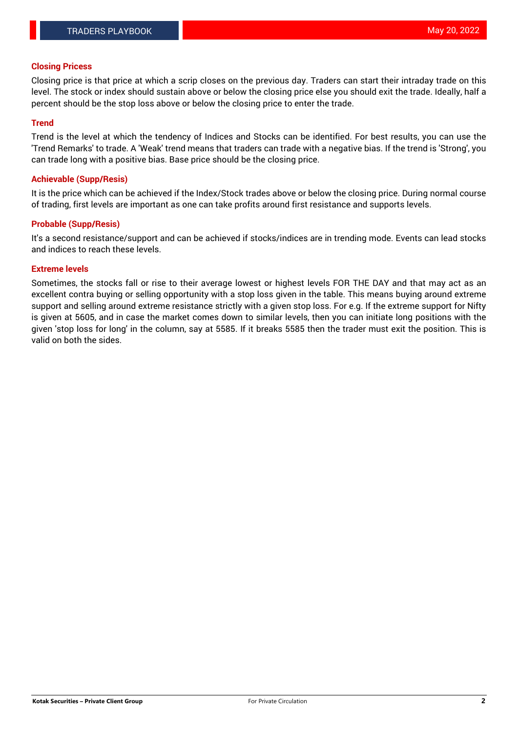# **Closing Pricess**

Closing price is that price at which a scrip closes on the previous day. Traders can start their intraday trade on this level. The stock or index should sustain above or below the closing price else you should exit the trade. Ideally, half a percent should be the stop loss above or below the closing price to enter the trade.

# **Trend**

Trend is the level at which the tendency of Indices and Stocks can be identified. For best results, you can use the 'Trend Remarks' to trade. A 'Weak' trend means that traders can trade with a negative bias. If the trend is 'Strong', you can trade long with a positive bias. Base price should be the closing price.

# **Achievable (Supp/Resis)**

It is the price which can be achieved if the Index/Stock trades above or below the closing price. During normal course of trading, first levels are important as one can take profits around first resistance and supports levels.

# **Probable (Supp/Resis)**

It's a second resistance/support and can be achieved if stocks/indices are in trending mode. Events can lead stocks and indices to reach these levels.

## **Extreme levels**

Sometimes, the stocks fall or rise to their average lowest or highest levels FOR THE DAY and that may act as an excellent contra buying or selling opportunity with a stop loss given in the table. This means buying around extreme support and selling around extreme resistance strictly with a given stop loss. For e.g. If the extreme support for Nifty is given at 5605, and in case the market comes down to similar levels, then you can initiate long positions with the given 'stop loss for long' in the column, say at 5585. If it breaks 5585 then the trader must exit the position. This is valid on both the sides.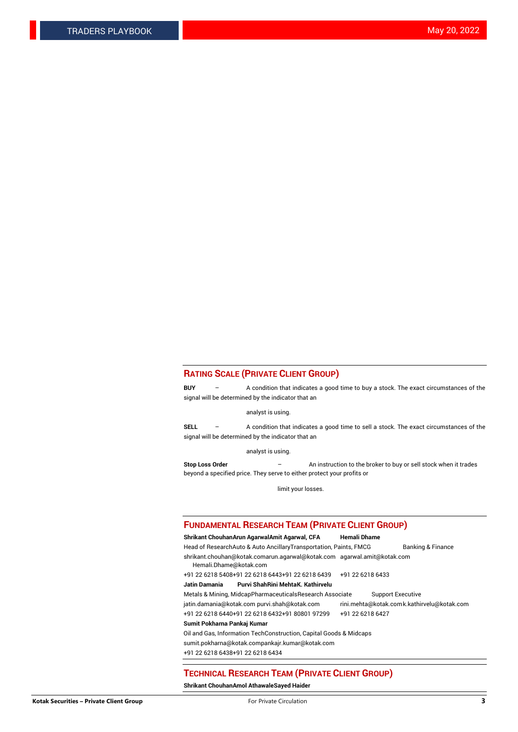#### **RATING SCALE (PRIVATE CLIENT GROUP)**

**BUY** – A condition that indicates a good time to buy a stock. The exact circumstances of the signal will be determined by the indicator that an

analyst is using.

**SELL** – A condition that indicates a good time to sell a stock. The exact circumstances of the signal will be determined by the indicator that an

analyst is using.

**Stop Loss Order** – An instruction to the broker to buy or sell stock when it trades beyond a specified price. They serve to either protect your profits or

limit your losses.

#### **FUNDAMENTAL RESEARCH TEAM (PRIVATE CLIENT GROUP)**

**Shrikant ChouhanArun AgarwalAmit Agarwal, CFA Hemali Dhame** Head of ResearchAuto & Auto AncillaryTransportation, Paints, FMCG Banking & Finance shrikant.chouhan@kotak.comarun.agarwal@kotak.com agarwal.amit@kotak.com Hemali.Dhame@kotak.com +91 22 6218 5408+91 22 6218 6443+91 22 6218 6439 +91 22 6218 6433 **Jatin Damania Purvi ShahRini MehtaK. Kathirvelu** Metals & Mining, MidcapPharmaceuticalsResearch Associate Support Executive jatin.damania@kotak.com [purvi.shah@kotak.com](mailto:purvi.shah@kotak.com) rini.mehta@kotak.co[mk.kathirvelu@kotak.com](mailto:k.kathirvelu@kotak.com) +91 22 6218 6440+91 22 6218 6432+91 80801 97299 +91 22 6218 6427 **Sumit Pokharna Pankaj Kumar**

Oil and Gas, Information TechConstruction, Capital Goods & Midcaps

sumit.pokharna@kotak.compankajr.kumar@kotak.com

+91 22 6218 6438+91 22 6218 6434

## **TECHNICAL RESEARCH TEAM (PRIVATE CLIENT GROUP)**

**Shrikant ChouhanAmol AthawaleSayed Haider**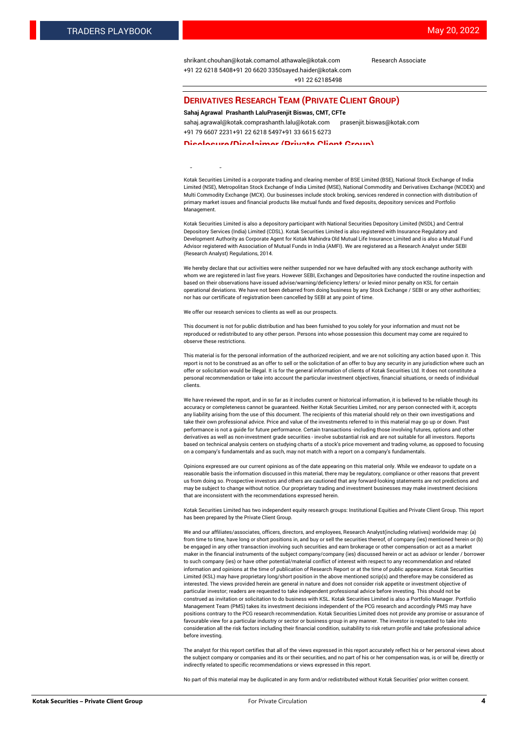[shrikant.chouhan@kotak.com](mailto:shrikant.chouhan@kotak.com)[amol.athawale@kotak.com](mailto:amol.athawale@kotak.com) Research Associate +91 22 6218 5408+91 20 6620 335[0sayed.haider@kotak.com](mailto:sayed.haider@kotak.com) +91 22 62185498

#### **DERIVATIVES RESEARCH TEAM (PRIVATE CLIENT GROUP)**

#### **Sahaj Agrawal Prashanth LaluPrasenjit Biswas, CMT, CFTe**

[sahaj.agrawal@kotak.com](mailto:sahaj.agrawal@kotak.com)[prashanth.lalu@kotak.com](mailto:prashanth.lalu@kotak.com) [prasenjit.biswas@kotak.com](mailto:prasenjit.biswas@kotak.com) +91 79 6607 2231+91 22 6218 5497+91 33 6615 6273

#### **Disclosure/Disclaimer (Private Client Group)**

largest brokerage and distribution house.

Kotak Securities Limited is a corporate trading and clearing member of BSE Limited (BSE), National Stock Exchange of India Limited (NSE), Metropolitan Stock Exchange of India Limited (MSE), National Commodity and Derivatives Exchange (NCDEX) and Multi Commodity Exchange (MCX). Our businesses include stock broking, services rendered in connection with distribution of primary market issues and financial products like mutual funds and fixed deposits, depository services and Portfolio Management.

Kotak Securities Limited is also a depository participant with National Securities Depository Limited (NSDL) and Central Depository Services (India) Limited (CDSL). Kotak Securities Limited is also registered with Insurance Regulatory and Development Authority as Corporate Agent for Kotak Mahindra Old Mutual Life Insurance Limited and is also a Mutual Fund Advisor registered with Association of Mutual Funds in India (AMFI). We are registered as a Research Analyst under SEBI (Research Analyst) Regulations, 2014.

We hereby declare that our activities were neither suspended nor we have defaulted with any stock exchange authority with whom we are registered in last five years. However SEBI, Exchanges and Depositories have conducted the routine inspection and based on their observations have issued advise/warning/deficiency letters/ or levied minor penalty on KSL for certain operational deviations. We have not been debarred from doing business by any Stock Exchange / SEBI or any other authorities; nor has our certificate of registration been cancelled by SEBI at any point of time.

We offer our research services to clients as well as our prospects.

This document is not for public distribution and has been furnished to you solely for your information and must not be reproduced or redistributed to any other person. Persons into whose possession this document may come are required to observe these restrictions.

This material is for the personal information of the authorized recipient, and we are not soliciting any action based upon it. This report is not to be construed as an offer to sell or the solicitation of an offer to buy any security in any jurisdiction where such an offer or solicitation would be illegal. It is for the general information of clients of Kotak Securities Ltd. It does not constitute a personal recommendation or take into account the particular investment objectives, financial situations, or needs of individual clients.

We have reviewed the report, and in so far as it includes current or historical information, it is believed to be reliable though its accuracy or completeness cannot be guaranteed. Neither Kotak Securities Limited, nor any person connected with it, accepts any liability arising from the use of this document. The recipients of this material should rely on their own investigations and take their own professional advice. Price and value of the investments referred to in this material may go up or down. Past performance is not a guide for future performance. Certain transactions -including those involving futures, options and other derivatives as well as non-investment grade securities - involve substantial risk and are not suitable for all investors. Reports based on technical analysis centers on studying charts of a stock's price movement and trading volume, as opposed to focusing on a company's fundamentals and as such, may not match with a report on a company's fundamentals.

Opinions expressed are our current opinions as of the date appearing on this material only. While we endeavor to update on a reasonable basis the information discussed in this material, there may be regulatory, compliance or other reasons that prevent us from doing so. Prospective investors and others are cautioned that any forward-looking statements are not predictions and may be subject to change without notice. Our proprietary trading and investment businesses may make investment decisions that are inconsistent with the recommendations expressed herein.

Kotak Securities Limited has two independent equity research groups: Institutional Equities and Private Client Group. This report has been prepared by the Private Client Group.

We and our affiliates/associates, officers, directors, and employees, Research Analyst(including relatives) worldwide may: (a) from time to time, have long or short positions in, and buy or sell the securities thereof, of company (ies) mentioned herein or (b) be engaged in any other transaction involving such securities and earn brokerage or other compensation or act as a market maker in the financial instruments of the subject company/company (ies) discussed herein or act as advisor or lender / borrower to such company (ies) or have other potential/material conflict of interest with respect to any recommendation and related information and opinions at the time of publication of Research Report or at the time of public appearance. Kotak Securities Limited (KSL) may have proprietary long/short position in the above mentioned scrip(s) and therefore may be considered as interested. The views provided herein are general in nature and does not consider risk appetite or investment objective of particular investor; readers are requested to take independent professional advice before investing. This should not be construed as invitation or solicitation to do business with KSL. Kotak Securities Limited is also a Portfolio Manager. Portfolio Management Team (PMS) takes its investment decisions independent of the PCG research and accordingly PMS may have positions contrary to the PCG research recommendation. Kotak Securities Limited does not provide any promise or assurance of favourable view for a particular industry or sector or business group in any manner. The investor is requested to take into consideration all the risk factors including their financial condition, suitability to risk return profile and take professional advice before investing.

The analyst for this report certifies that all of the views expressed in this report accurately reflect his or her personal views about the subject company or companies and its or their securities, and no part of his or her compensation was, is or will be, directly or indirectly related to specific recommendations or views expressed in this report.

No part of this material may be duplicated in any form and/or redistributed without Kotak Securities' prior written consent.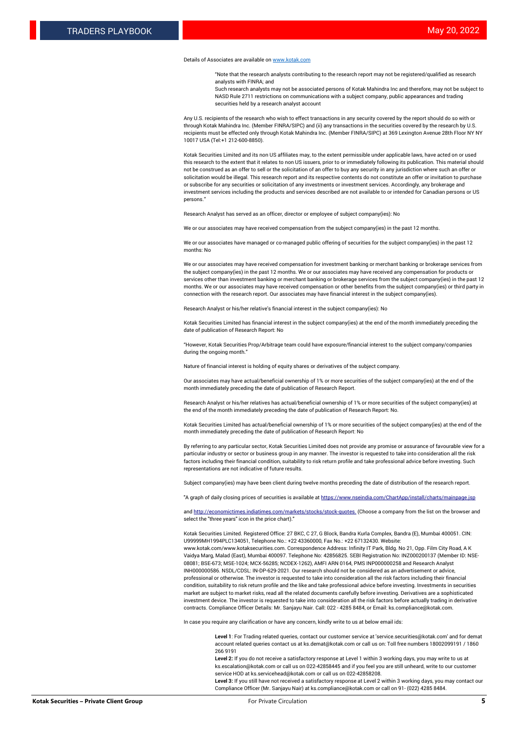#### Details of Associates are available o[n www.kotak.com](http://www.kotak.com/)

"Note that the research analysts contributing to the research report may not be registered/qualified as research analysts with FINRA; and

Such research analysts may not be associated persons of Kotak Mahindra Inc and therefore, may not be subject to NASD Rule 2711 restrictions on communications with a subject company, public appearances and trading securities held by a research analyst account

Any U.S. recipients of the research who wish to effect transactions in any security covered by the report should do so with or through Kotak Mahindra Inc. (Member FINRA/SIPC) and (ii) any transactions in the securities covered by the research by U.S. recipients must be effected only through Kotak Mahindra Inc. (Member FINRA/SIPC) at 369 Lexington Avenue 28th Floor NY NY 10017 USA (Tel:+1 212-600-8850).

Kotak Securities Limited and its non US affiliates may, to the extent permissible under applicable laws, have acted on or used this research to the extent that it relates to non US issuers, prior to or immediately following its publication. This material should not be construed as an offer to sell or the solicitation of an offer to buy any security in any jurisdiction where such an offer or solicitation would be illegal. This research report and its respective contents do not constitute an offer or invitation to purchase or subscribe for any securities or solicitation of any investments or investment services. Accordingly, any brokerage and investment services including the products and services described are not available to or intended for Canadian persons or US persons."

Research Analyst has served as an officer, director or employee of subject company(ies): No

We or our associates may have received compensation from the subject company(ies) in the past 12 months.

We or our associates have managed or co-managed public offering of securities for the subject company(ies) in the past 12 months: No

We or our associates may have received compensation for investment banking or merchant banking or brokerage services from the subject company(ies) in the past 12 months. We or our associates may have received any compensation for products or services other than investment banking or merchant banking or brokerage services from the subject company(ies) in the past 12 months. We or our associates may have received compensation or other benefits from the subject company(ies) or third party in connection with the research report. Our associates may have financial interest in the subject company(ies).

Research Analyst or his/her relative's financial interest in the subject company(ies): No

Kotak Securities Limited has financial interest in the subject company(ies) at the end of the month immediately preceding the date of publication of Research Report: No

"However, Kotak Securities Prop/Arbitrage team could have exposure/financial interest to the subject company/companies during the ongoing month."

Nature of financial interest is holding of equity shares or derivatives of the subject company.

Our associates may have actual/beneficial ownership of 1% or more securities of the subject company(ies) at the end of the month immediately preceding the date of publication of Research Report.

Research Analyst or his/her relatives has actual/beneficial ownership of 1% or more securities of the subject company(ies) at the end of the month immediately preceding the date of publication of Research Report: No.

Kotak Securities Limited has actual/beneficial ownership of 1% or more securities of the subject company(ies) at the end of the month immediately preceding the date of publication of Research Report: No

By referring to any particular sector, Kotak Securities Limited does not provide any promise or assurance of favourable view for a particular industry or sector or business group in any manner. The investor is requested to take into consideration all the risk factors including their financial condition, suitability to risk return profile and take professional advice before investing. Such representations are not indicative of future results.

Subject company(ies) may have been client during twelve months preceding the date of distribution of the research report.

"A graph of daily closing prices of securities is available at https://www.nseindia.com/ChartApp/install/charts/main

and http://economictimes.indiatimes.com/markets/stocks/stock-quotes. (Choose a company from the list on the browser and select the "three years" icon in the price chart)."

Kotak Securities Limited. Registered Office: 27 BKC, C 27, G Block, Bandra Kurla Complex, Bandra (E), Mumbai 400051. CIN: U99999MH1994PLC134051, Telephone No.: +22 43360000, Fax No.: +22 67132430. Website:

www.kotak.com/www.kotaksecurities.com. Correspondence Address: Infinity IT Park, Bldg. No 21, Opp. Film City Road, A K Vaidya Marg, Malad (East), Mumbai 400097. Telephone No: 42856825. SEBI Registration No: INZ000200137 (Member ID: NSE-08081; BSE-673; MSE-1024; MCX-56285; NCDEX-1262), AMFI ARN 0164, PMS INP000000258 and Research Analyst INH000000586. NSDL/CDSL: IN-DP-629-2021. Our research should not be considered as an advertisement or advice, professional or otherwise. The investor is requested to take into consideration all the risk factors including their financial condition, suitability to risk return profile and the like and take professional advice before investing. Investments in securities market are subject to market risks, read all the related documents carefully before investing. Derivatives are a sophisticated investment device. The investor is requested to take into consideration all the risk factors before actually trading in derivative contracts. Compliance Officer Details: Mr. Sanjayu Nair. Call: 022 - 4285 8484, or Email: ks.compliance@kotak.com.

In case you require any clarification or have any concern, kindly write to us at below email ids:

**Level 1**: For Trading related queries, contact our customer service at 'service.securities@kotak.com' and for demat account related queries contact us at ks.demat@kotak.com or call us on: Toll free numbers 18002099191 / 1860 266 9191

**Level 2:** If you do not receive a satisfactory response at Level 1 within 3 working days, you may write to us at ks.escalation@kotak.com or call us on 022-42858445 and if you feel you are still unheard, write to our customer service HOD at ks.servicehead@kotak.com or call us on 022-42858208.

**Level 3:** If you still have not received a satisfactory response at Level 2 within 3 working days, you may contact our Compliance Officer (Mr. Sanjayu Nair) at ks.compliance@kotak.com or call on 91- (022) 4285 8484.